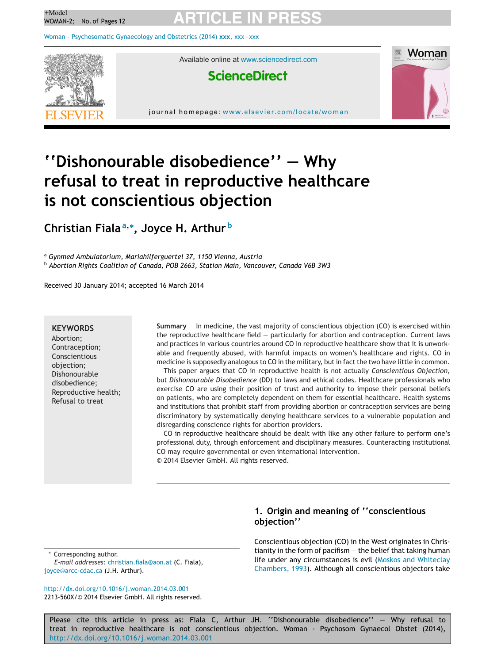Woman - [Psychosomatic](dx.doi.org/10.1016/j.woman.2014.03.001) Gynaecology and Obstetrics (2014) **xxx**, xxx—xxx



Available online at [www.sciencedirect.com](http://www.sciencedirect.com/science/journal/aip/2213560X)

## **ScienceDirect**

Woman

journal homepage: <www.elsevier.com/locate/woman>

# **''Dishonourable disobedience'' — Why refusal to treat in reproductive healthcare is not conscientious objection**

**Christian Fiala<sup>a</sup>,<sup>∗</sup> , Joyce H. Arthur <sup>b</sup>**

<sup>a</sup> *Gynmed Ambulatorium, Mariahilferguertel 37, 1150 Vienna, Austria* <sup>b</sup> *Abortion Rights Coalition of Canada, POB 2663, Station Main, Vancouver, Canada V6B 3W3*

Received 30 January 2014; accepted 16 March 2014

#### **KEYWORDS**

Abortion; Contraception; Conscientious objection; Dishonourable disobedience; Reproductive health; Refusal to treat

**Summary** In medicine, the vast majority of conscientious objection (CO) is exercised within the reproductive healthcare field — particularly for abortion and contraception. Current laws and practices in various countries around CO in reproductive healthcare show that it is unworkable and frequently abused, with harmful impacts on women's healthcare and rights. CO in medicine is supposedly analogous to CO in the military, but in fact the two have little in common.

This paper argues that CO in reproductive health is not actually *Conscientious Objection*, but *Dishonourable Disobedience* (DD) to laws and ethical codes. Healthcare professionals who exercise CO are using their position of trust and authority to impose their personal beliefs on patients, who are completely dependent on them for essential healthcare. Health systems and institutions that prohibit staff from providing abortion or contraception services are being discriminatory by systematically denying healthcare services to a vulnerable population and disregarding conscience rights for abortion providers.

CO in reproductive healthcare should be dealt with like any other failure to perform one's professional duty, through enforcement and disciplinary measures. Counteracting institutional CO may require governmental or even international intervention. © 2014 Elsevier GmbH. All rights reserved.

Corresponding author.

*E-mail addresses:* [christian.fiala@aon.at](mailto:christian.fiala@aon.at) (C. Fiala), [joyce@arcc-cdac.ca](mailto:joyce@arcc-cdac.ca) (J.H. Arthur).

[http://dx.doi.org/10.1016/j.woman.2014.03.001](dx.doi.org/10.1016/j.woman.2014.03.001) 2213-560X/© 2014 Elsevier GmbH. All rights reserved.

#### **1. Origin and meaning of ''conscientious objection''**

Conscientious objection (CO) in the West originates in Christianity in the form of pacifism — the belief that taking human life under any circumstances is evil [\(Moskos](#page-10-0) [and](#page-10-0) [Whiteclay](#page-10-0) [Chambers,](#page-10-0) [1993\).](#page-10-0) Although all conscientious objectors take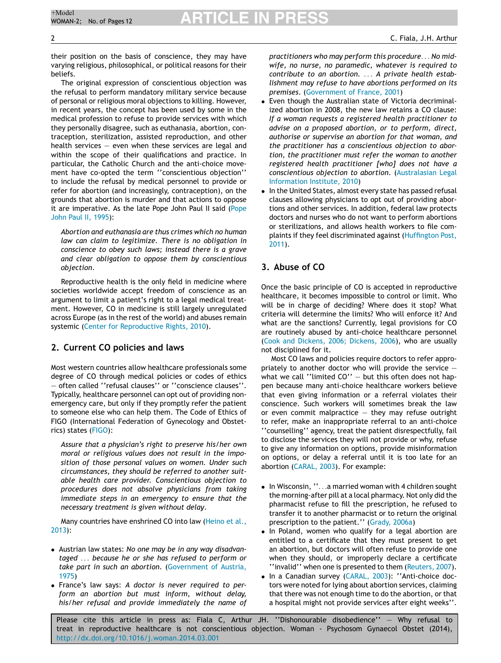their position on the basis of conscience, they may have varying religious, philosophical, or political reasons for their beliefs.

The original expression of conscientious objection was the refusal to perform mandatory military service because of personal or religious moral objections to killing. However, in recent years, the concept has been used by some in the medical profession to refuse to provide services with which they personally disagree, such as euthanasia, abortion, contraception, sterilization, assisted reproduction, and other health services — even when these services are legal and within the scope of their qualifications and practice. In particular, the Catholic Church and the anti-choice movement have co-opted the term ''conscientious objection'' to include the refusal by medical personnel to provide or refer for abortion (and increasingly, contraception), on the grounds that abortion is murder and that actions to oppose it are imperative. As the late Pope John Paul II said ([Pope](#page-10-0) [John](#page-10-0) [Paul](#page-10-0) [II,](#page-10-0) [1995\):](#page-10-0)

*Abortion and euthanasia are thus crimes which no human law can claim to legitimize. There is no obligation in conscience to obey such laws; instead there is a grave and clear obligation to oppose them by conscientious objection*.

Reproductive health is the only field in medicine where societies worldwide accept freedom of conscience as an argument to limit a patient's right to a legal medical treatment. However, CO in medicine is still largely unregulated across Europe (as in the rest of the world) and abuses remain systemic [\(Center](#page-9-0) [for](#page-9-0) [Reproductive](#page-9-0) [Rights,](#page-9-0) [2010\).](#page-9-0)

### **2. Current CO policies and laws**

Most western countries allow healthcare professionals some degree of CO through medical policies or codes of ethics — often called ''refusal clauses'' or ''conscience clauses''. Typically, healthcare personnel can opt out of providing nonemergency care, but only if they promptly refer the patient to someone else who can help them. The Code of Ethics of FIGO (International Federation of Gynecology and Obstetrics) states ([FIGO\):](#page-10-0)

*Assure that a physician's right to preserve his/her own moral or religious values does not result in the imposition of those personal values on women. Under such circumstances, they should be referred to another suitable health care provider. Conscientious objection to procedures does not absolve physicians from taking immediate steps in an emergency to ensure that the necessary treatment is given without delay*.

Many countries have enshrined CO into law ([Heino](#page-10-0) et [al.,](#page-10-0) [2013\):](#page-10-0)

- Austrian law states: *No one may be in any way disadvantaged* . . . *because he or she has refused to perform or take part in such an abortion*. ([Government](#page-10-0) [of](#page-10-0) [Austria,](#page-10-0) [1975\)](#page-10-0)
- France's law says: *A doctor is never required to perform an abortion but must inform, without delay, his/her refusal and provide immediately the name of*

*practitioners who may perform this procedure*. . . *No midwife, no nurse, no paramedic, whatever is required to contribute to an abortion.* . . . *A private health establishment may refuse to have abortions performed on its premises*. ([Government](#page-10-0) [of](#page-10-0) [France,](#page-10-0) [2001\)](#page-10-0)

- Even though the Australian state of Victoria decriminalized abortion in 2008, the new law retains a CO clause: *If a woman requests a registered health practitioner to advise on a proposed abortion, or to perform, direct, authorise or supervise an abortion for that woman, and the practitioner has a conscientious objection to abortion, the practitioner must refer the woman to another registered health practitioner [who] does not have a conscientious objection to abortion*. ([Australasian](#page-9-0) [Legal](#page-9-0) [Information](#page-9-0) [Institute,](#page-9-0) [2010\)](#page-9-0)
- In the United States, almost every state has passed refusal clauses allowing physicians to opt out of providing abortions and other services. In addition, federal law protects doctors and nurses who do not want to perform abortions or sterilizations, and allows health workers to file complaints if they feel discriminated against [\(Huffington](#page-10-0) [Post,](#page-10-0) [2011\).](#page-10-0)

### **3. Abuse of CO**

Once the basic principle of CO is accepted in reproductive healthcare, it becomes impossible to control or limit. Who will be in charge of deciding? Where does it stop? What criteria will determine the limits? Who will enforce it? And what are the sanctions? Currently, legal provisions for CO are routinely abused by anti-choice healthcare personnel [\(Cook](#page-9-0) [and](#page-9-0) [Dickens,](#page-9-0) [2006;](#page-9-0) [Dickens,](#page-9-0) [2006\),](#page-9-0) who are usually not disciplined for it.

Most CO laws and policies require doctors to refer appropriately to another doctor who will provide the service what we call ''limited CO'' — but this often does not happen because many anti-choice healthcare workers believe that even giving information or a referral violates their conscience. Such workers will sometimes break the law or even commit malpractice  $-$  they may refuse outright to refer, make an inappropriate referral to an anti-choice ''counselling'' agency, treat the patient disrespectfully, fail to disclose the services they will not provide or why, refuse to give any information on options, provide misinformation on options, or delay a referral until it is too late for an abortion ([CARAL,](#page-9-0) [2003\).](#page-9-0) For example:

- In Wisconsin, "... a married woman with 4 children sought the morning-after pill at a local pharmacy. Not only did the pharmacist refuse to fill the prescription, he refused to transfer it to another pharmacist or to return the original prescription to the patient.'' ([Grady,](#page-10-0) [2006a\)](#page-10-0)
- In Poland, women who qualify for a legal abortion are entitled to a certificate that they must present to get an abortion, but doctors will often refuse to provide one when they should, or improperly declare a certificate ''invalid'' when one is presented to them [\(Reuters,](#page-10-0) [2007\).](#page-10-0)
- In a Canadian survey [\(CARAL,](#page-9-0) [2003\):](#page-9-0) ''Anti-choice doctors were noted for lying about abortion services, claiming that there was not enough time to do the abortion, or that a hospital might not provide services after eight weeks''.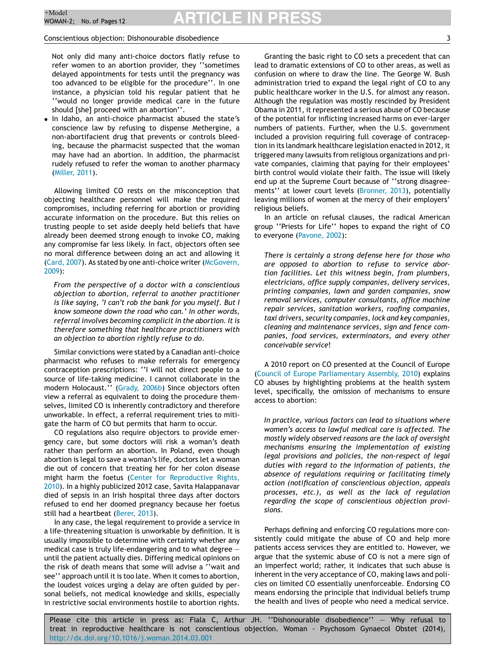#### Conscientious objection: Dishonourable disobedience 3

Not only did many anti-choice doctors flatly refuse to refer women to an abortion provider, they ''sometimes delayed appointments for tests until the pregnancy was too advanced to be eligible for the procedure''. In one instance, a physician told his regular patient that he ''would no longer provide medical care in the future should [she] proceed with an abortion''.

• In Idaho, an anti-choice pharmacist abused the state's conscience law by refusing to dispense Methergine, a non-abortifacient drug that prevents or controls bleeding, because the pharmacist suspected that the woman may have had an abortion. In addition, the pharmacist rudely refused to refer the woman to another pharmacy [\(Miller,](#page-10-0) [2011\).](#page-10-0)

Allowing limited CO rests on the misconception that objecting healthcare personnel will make the required compromises, including referring for abortion or providing accurate information on the procedure. But this relies on trusting people to set aside deeply held beliefs that have already been deemed strong enough to invoke CO, making any compromise far less likely. In fact, objectors often see no moral difference between doing an act and allowing it ([Card,](#page-9-0) [2007\).](#page-9-0) As stated by one anti-choice writer ([McGovern,](#page-10-0) [2009\):](#page-10-0)

*From the perspective of a doctor with a conscientious objection to abortion, referral to another practitioner is like saying, 'I can't rob the bank for you myself. But I know someone down the road who can.' In other words, referral involves becoming complicit in the abortion. It is therefore something that healthcare practitioners with an objection to abortion rightly refuse to do*.

Similar convictions were stated by a Canadian anti-choice pharmacist who refuses to make referrals for emergency contraception prescriptions: ''I will not direct people to a source of life-taking medicine. I cannot collaborate in the modern Holocaust.'' [\(Grady,](#page-10-0) [2006b\)](#page-10-0) Since objectors often view a referral as equivalent to doing the procedure themselves, limited CO is inherently contradictory and therefore unworkable. In effect, a referral requirement tries to mitigate the harm of CO but permits that harm to occur.

CO regulations also require objectors to provide emergency care, but some doctors will risk a woman's death rather than perform an abortion. In Poland, even though abortion is legal to save a woman's life, doctors let a woman die out of concern that treating her for her colon disease might harm the foetus ([Center](#page-9-0) [for](#page-9-0) [Reproductive](#page-9-0) [Rights,](#page-9-0) [2010\).](#page-9-0) In a highly publicized 2012 case, Savita Halappanavar died of sepsis in an Irish hospital three days after doctors refused to end her doomed pregnancy because her foetus still had a heartbeat ([Berer,](#page-9-0) [2013\).](#page-9-0)

In any case, the legal requirement to provide a service in a life-threatening situation is unworkable by definition. It is usually impossible to determine with certainty whether any medical case is truly life-endangering and to what degree until the patient actually dies. Differing medical opinions on the risk of death means that some will advise a ''wait and see'' approach until it is too late. When it comes to abortion, the loudest voices urging a delay are often guided by personal beliefs, not medical knowledge and skills, especially in restrictive social environments hostile to abortion rights.

Granting the basic right to CO sets a precedent that can lead to dramatic extensions of CO to other areas, as well as confusion on where to draw the line. The George W. Bush administration tried to expand the legal right of CO to any public healthcare worker in the U.S. for almost any reason. Although the regulation was mostly rescinded by President Obama in 2011, it represented a serious abuse of CO because of the potential for inflicting increased harms on ever-larger numbers of patients. Further, when the U.S. government included a provision requiring full coverage of contraception in its landmark healthcare legislation enacted in 2012, it triggered many lawsuits from religious organizations and private companies, claiming that paying for their employees' birth control would violate their faith. The issue will likely end up at the Supreme Court because of ''strong disagreements'' at lower court levels [\(Bronner,](#page-9-0) [2013\),](#page-9-0) potentially leaving millions of women at the mercy of their employers' religious beliefs.

In an article on refusal clauses, the radical American group ''Priests for Life'' hopes to expand the right of CO to everyone [\(Pavone,](#page-10-0) [2002\):](#page-10-0)

*There is certainly a strong defense here for those who are opposed to abortion to refuse to service abortion facilities. Let this witness begin, from plumbers, electricians, office supply companies, delivery services, printing companies, lawn and garden companies, snow removal services, computer consultants, office machine repair services, sanitation workers, roofing companies, taxi drivers, security companies, lock and key companies, cleaning and maintenance services, sign and fence companies, food services, exterminators, and every other conceivable service*!

A 2010 report on CO presented at the Council of Europe ([Council](#page-9-0) [of](#page-9-0) [Europe](#page-9-0) [Parliamentary](#page-9-0) [Assembly,](#page-9-0) [2010\)](#page-9-0) explains CO abuses by highlighting problems at the health system level, specifically, the omission of mechanisms to ensure access to abortion:

*In practice, various factors can lead to situations where women's access to lawful medical care is affected. The mostly widely observed reasons are the lack of oversight mechanisms ensuring the implementation of existing legal provisions and policies, the non-respect of legal duties with regard to the information of patients, the absence of regulations requiring or facilitating timely action (notification of conscientious objection, appeals processes, etc.), as well as the lack of regulation regarding the scope of conscientious objection provisions*.

Perhaps defining and enforcing CO regulations more consistently could mitigate the abuse of CO and help more patients access services they are entitled to. However, we argue that the systemic abuse of CO is not a mere sign of an imperfect world; rather, it indicates that such abuse is inherent in the very acceptance of CO, making laws and policies on limited CO essentially unenforceable. Endorsing CO means endorsing the principle that individual beliefs trump the health and lives of people who need a medical service.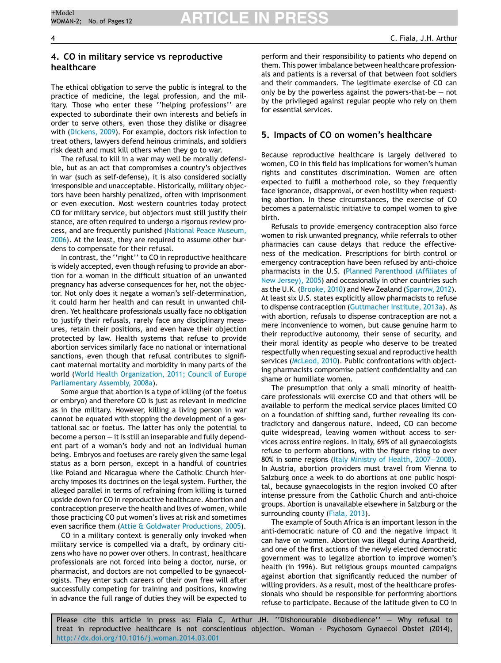### **4. CO in military service vs reproductive healthcare**

The ethical obligation to serve the public is integral to the practice of medicine, the legal profession, and the military. Those who enter these ''helping professions'' are expected to subordinate their own interests and beliefs in order to serve others, even those they dislike or disagree with [\(Dickens,](#page-9-0) [2009\).](#page-9-0) For example, doctors risk infection to treat others, lawyers defend heinous criminals, and soldiers risk death and must kill others when they go to war.

The refusal to kill in a war may well be morally defensible, but as an act that compromises a country's objectives in war (such as self-defense), it is also considered socially irresponsible and unacceptable. Historically, military objectors have been harshly penalized, often with imprisonment or even execution. Most western countries today protect CO for military service, but objectors must still justify their stance, are often required to undergo a rigorous review process, and are frequently punished [\(National](#page-10-0) [Peace](#page-10-0) [Museum,](#page-10-0) [2006\).](#page-10-0) At the least, they are required to assume other burdens to compensate for their refusal.

In contrast, the ''right'' to CO in reproductive healthcare is widely accepted, even though refusing to provide an abortion for a woman in the difficult situation of an unwanted pregnancy has adverse consequences for her, not the objector. Not only does it negate a woman's self-determination, it could harm her health and can result in unwanted children. Yet healthcare professionals usually face no obligation to justify their refusals, rarely face any disciplinary measures, retain their positions, and even have their objection protected by law. Health systems that refuse to provide abortion services similarly face no national or international sanctions, even though that refusal contributes to significant maternal mortality and morbidity in many parts of the world ([World](#page-11-0) [Health](#page-11-0) [Organization,](#page-11-0) [2011;](#page-11-0) [Council](#page-11-0) [of](#page-11-0) [Europe](#page-11-0) [Parliamentary](#page-11-0) [Assembly,](#page-11-0) [2008a\).](#page-11-0)

Some argue that abortion is a type of killing (of the foetus or embryo) and therefore CO is just as relevant in medicine as in the military. However, killing a living person in war cannot be equated with stopping the development of a gestational sac or foetus. The latter has only the potential to become a person — it is still an inseparable and fully dependent part of a woman's body and not an individual human being. Embryos and foetuses are rarely given the same legal status as a born person, except in a handful of countries like Poland and Nicaragua where the Catholic Church hierarchy imposes its doctrines on the legal system. Further, the alleged parallel in terms of refraining from killing is turned upside down for CO in reproductive healthcare. Abortion and contraception preserve the health and lives of women, while those practicing CO put women's lives at risk and sometimes even sacrifice them [\(Attie](#page-9-0) [&](#page-9-0) [Goldwater](#page-9-0) [Productions,](#page-9-0) [2005\).](#page-9-0)

CO in a military context is generally only invoked when military service is compelled via a draft, by ordinary citizens who have no power over others. In contrast, healthcare professionals are not forced into being a doctor, nurse, or pharmacist, and doctors are not compelled to be gynaecologists. They enter such careers of their own free will after successfully competing for training and positions, knowing in advance the full range of duties they will be expected to perform and their responsibility to patients who depend on them. This powerimbalance between healthcare professionals and patients is a reversal of that between foot soldiers and their commanders. The legitimate exercise of CO can only be by the powerless against the powers-that-be  $-$  not by the privileged against regular people who rely on them for essential services.

## **5. Impacts of CO on women's healthcare**

Because reproductive healthcare is largely delivered to women, CO in this field has implications for women's human rights and constitutes discrimination. Women are often expected to fulfil a motherhood role, so they frequently face ignorance, disapproval, or even hostility when requesting abortion. In these circumstances, the exercise of CO becomes a paternalistic initiative to compel women to give birth.

Refusals to provide emergency contraception also force women to risk unwanted pregnancy, while referrals to other pharmacies can cause delays that reduce the effectiveness of the medication. Prescriptions for birth control or emergency contraception have been refused by anti-choice pharmacists in the U.S. [\(Planned](#page-10-0) [Parenthood](#page-10-0) [\(Affiliates](#page-10-0) [of](#page-10-0) [New](#page-10-0) [Jersey\),](#page-10-0) [2005\)](#page-10-0) and occasionally in other countries such as the U.K. ([Brooke,](#page-9-0) [2010\)](#page-9-0) and New Zealand [\(Sparrow,](#page-11-0) [2012\).](#page-11-0) At least six U.S. states explicitly allow pharmacists to refuse to dispense contraception [\(Guttmacher](#page-10-0) [Institute,](#page-10-0) [2013a\).](#page-10-0) As with abortion, refusals to dispense contraception are not a mere inconvenience to women, but cause genuine harm to their reproductive autonomy, their sense of security, and their moral identity as people who deserve to be treated respectfully when requesting sexual and reproductive health services ([McLeod,](#page-10-0) [2010\).](#page-10-0) Public confrontations with objecting pharmacists compromise patient confidentiality and can shame or humiliate women.

The presumption that only a small minority of healthcare professionals will exercise CO and that others will be available to perform the medical service places limited CO on a foundation of shifting sand, further revealing its contradictory and dangerous nature. Indeed, CO can become quite widespread, leaving women without access to services across entire regions. In Italy, 69% of all gynaecologists refuse to perform abortions, with the figure rising to over 80% in some regions [\(Italy](#page-10-0) [Ministry](#page-10-0) [of](#page-10-0) [Health,](#page-10-0) [2007—2008\).](#page-10-0) In Austria, abortion providers must travel from Vienna to Salzburg once a week to do abortions at one public hospital, because gynaecologists in the region invoked CO after intense pressure from the Catholic Church and anti-choice groups. Abortion is unavailable elsewhere in Salzburg or the surrounding county ([Fiala,](#page-9-0) [2013\).](#page-9-0)

The example of South Africa is an important lesson in the anti-democratic nature of CO and the negative impact it can have on women. Abortion was illegal during Apartheid, and one of the first actions of the newly elected democratic government was to legalize abortion to improve women's health (in 1996). But religious groups mounted campaigns against abortion that significantly reduced the number of willing providers. As a result, most of the healthcare professionals who should be responsible for performing abortions refuse to participate. Because of the latitude given to CO in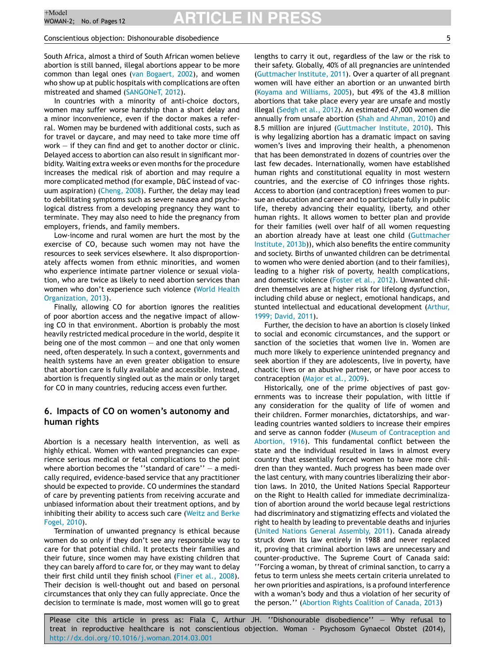#### Conscientious objection: Dishonourable disobedience 5

South Africa, almost a third of South African women believe abortion is still banned, illegal abortions appear to be more common than legal ones ([van](#page-11-0) [Bogaert,](#page-11-0) [2002\),](#page-11-0) and women who show up at public hospitals with complications are often mistreated and shamed ([SANGONeT,](#page-10-0) [2012\).](#page-10-0)

In countries with a minority of anti-choice doctors, women may suffer worse hardship than a short delay and a minor inconvenience, even if the doctor makes a referral. Women may be burdened with additional costs, such as for travel or daycare, and may need to take more time off work — if they can find and get to another doctor or clinic. Delayed access to abortion can also result in significant morbidity. Waiting extra weeks or even months for the procedure increases the medical risk of abortion and may require a more complicated method (for example, D&C instead of vacuum aspiration) ([Cheng,](#page-9-0) [2008\).](#page-9-0) Further, the delay may lead to debilitating symptoms such as severe nausea and psychological distress from a developing pregnancy they want to terminate. They may also need to hide the pregnancy from employers, friends, and family members.

Low-income and rural women are hurt the most by the exercise of CO, because such women may not have the resources to seek services elsewhere. It also disproportionately affects women from ethnic minorities, and women who experience intimate partner violence or sexual violation, who are twice as likely to need abortion services than women who don't experience such violence [\(World](#page-11-0) [Health](#page-11-0) [Organization,](#page-11-0) [2013\).](#page-11-0)

Finally, allowing CO for abortion ignores the realities of poor abortion access and the negative impact of allowing CO in that environment. Abortion is probably the most heavily restricted medical procedure in the world, despite it being one of the most common — and one that only women need, often desperately. In such a context, governments and health systems have an even greater obligation to ensure that abortion care is fully available and accessible. Instead, abortion is frequently singled out as the main or only target for CO in many countries, reducing access even further.

#### **6. Impacts of CO on women's autonomy and human rights**

Abortion is a necessary health intervention, as well as highly ethical. Women with wanted pregnancies can experience serious medical or fetal complications to the point where abortion becomes the ''standard of care'' — a medically required, evidence-based service that any practitioner should be expected to provide. CO undermines the standard of care by preventing patients from receiving accurate and unbiased information about their treatment options, and by inhibiting their ability to access such care [\(Weitz](#page-11-0) [and](#page-11-0) [Berke](#page-11-0) [Fogel,](#page-11-0) [2010\).](#page-11-0)

Termination of unwanted pregnancy is ethical because women do so only if they don't see any responsible way to care for that potential child. It protects their families and their future, since women may have existing children that they can barely afford to care for, or they may want to delay their first child until they finish school [\(Finer](#page-9-0) et [al.,](#page-9-0) [2008\).](#page-9-0) Their decision is well-thought out and based on personal circumstances that only they can fully appreciate. Once the decision to terminate is made, most women will go to great lengths to carry it out, regardless of the law or the risk to their safety. Globally, 40% of all pregnancies are unintended ([Guttmacher](#page-10-0) [Institute,](#page-10-0) [2011\).](#page-10-0) Over a quarter of all pregnant women will have either an abortion or an unwanted birth ([Koyama](#page-10-0) [and](#page-10-0) [Williams,](#page-10-0) [2005\),](#page-10-0) but 49% of the 43.8 million abortions that take place every year are unsafe and mostly illegal ([Sedgh](#page-10-0) et [al.,](#page-10-0) [2012\).](#page-10-0) An estimated 47,000 women die annually from unsafe abortion ([Shah](#page-10-0) [and](#page-10-0) [Ahman,](#page-10-0) [2010\)](#page-10-0) and 8.5 million are injured [\(Guttmacher](#page-10-0) [Institute,](#page-10-0) [2010\).](#page-10-0) This is why legalizing abortion has a dramatic impact on saving women's lives and improving their health, a phenomenon that has been demonstrated in dozens of countries over the last few decades. Internationally, women have established human rights and constitutional equality in most western countries, and the exercise of CO infringes those rights. Access to abortion (and contraception) frees women to pursue an education and career and to participate fully in public life, thereby advancing their equality, liberty, and other human rights. It allows women to better plan and provide for their families (well over half of all women requesting an abortion already have at least one child ([Guttmacher](#page-10-0) [Institute,](#page-10-0) [2013b\)\)](#page-10-0), which also benefits the entire community and society. Births of unwanted children can be detrimental to women who were denied abortion (and to their families), leading to a higher risk of poverty, health complications, and domestic violence ([Foster](#page-10-0) et [al.,](#page-10-0) [2012\).](#page-10-0) Unwanted children themselves are at higher risk for lifelong dysfunction, including child abuse or neglect, emotional handicaps, and stunted intellectual and educational development ([Arthur,](#page-9-0) [1999;](#page-9-0) [David,](#page-9-0) [2011\).](#page-9-0)

Further, the decision to have an abortion is closely linked to social and economic circumstances, and the support or sanction of the societies that women live in. Women are much more likely to experience unintended pregnancy and seek abortion if they are adolescents, live in poverty, have chaotic lives or an abusive partner, or have poor access to contraception ([Major](#page-10-0) et [al.,](#page-10-0) [2009\).](#page-10-0)

Historically, one of the prime objectives of past governments was to increase their population, with little if any consideration for the quality of life of women and their children. Former monarchies, dictatorships, and warleading countries wanted soldiers to increase their empires and serve as cannon fodder ([Museum](#page-10-0) [of](#page-10-0) [Contraception](#page-10-0) [and](#page-10-0) [Abortion,](#page-10-0) [1916\).](#page-10-0) This fundamental conflict between the state and the individual resulted in laws in almost every country that essentially forced women to have more children than they wanted. Much progress has been made over the last century, with many countries liberalizing their abortion laws. In 2010, the United Nations Special Rapporteur on the Right to Health called for immediate decriminalization of abortion around the world because legal restrictions had discriminatory and stigmatizing effects and violated the right to health by leading to preventable deaths and injuries ([United](#page-11-0) [Nations](#page-11-0) [General](#page-11-0) [Assembly,](#page-11-0) [2011\).](#page-11-0) Canada already struck down its law entirely in 1988 and never replaced it, proving that criminal abortion laws are unnecessary and counter-productive. The Supreme Court of Canada said: ''Forcing a woman, by threat of criminal sanction, to carry a fetus to term unless she meets certain criteria unrelated to her own priorities and aspirations, is a profound interference with a woman's body and thus a violation of her security of the person.'' [\(Abortion](#page-9-0) [Rights](#page-9-0) [Coalition](#page-9-0) [of](#page-9-0) [Canada,](#page-9-0) [2013\)](#page-9-0)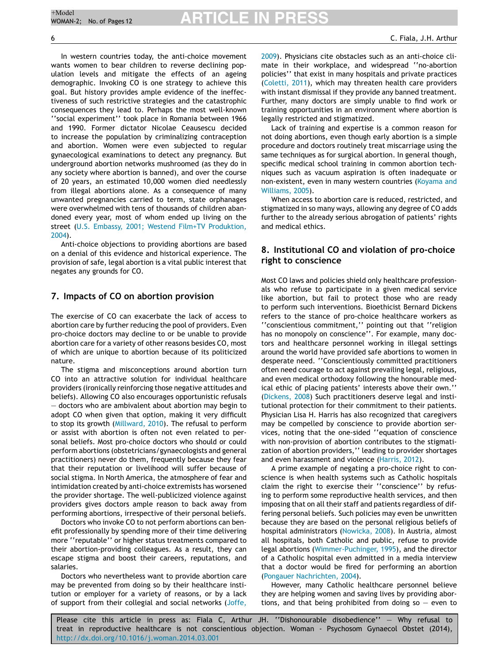In western countries today, the anti-choice movement wants women to bear children to reverse declining population levels and mitigate the effects of an ageing demographic. Invoking CO is one strategy to achieve this goal. But history provides ample evidence of the ineffectiveness of such restrictive strategies and the catastrophic consequences they lead to. Perhaps the most well-known ''social experiment'' took place in Romania between 1966 and 1990. Former dictator Nicolae Ceausescu decided to increase the population by criminalizing contraception and abortion. Women were even subjected to regular gynaecological examinations to detect any pregnancy. But underground abortion networks mushroomed (as they do in any society where abortion is banned), and over the course of 20 years, an estimated 10,000 women died needlessly from illegal abortions alone. As a consequence of many unwanted pregnancies carried to term, state orphanages were overwhelmed with tens of thousands of children abandoned every year, most of whom ended up living on the street [\(U.S.](#page-11-0) [Embassy,](#page-11-0) [2001;](#page-11-0) [Westend](#page-11-0) [Film+TV](#page-11-0) [Produktion,](#page-11-0) [2004\).](#page-11-0)

Anti-choice objections to providing abortions are based on a denial of this evidence and historical experience. The provision of safe, legal abortion is a vital public interest that negates any grounds for CO.

## **7. Impacts of CO on abortion provision**

The exercise of CO can exacerbate the lack of access to abortion care by further reducing the pool of providers. Even pro-choice doctors may decline to or be unable to provide abortion care for a variety of other reasons besides CO, most of which are unique to abortion because of its politicized nature.

The stigma and misconceptions around abortion turn CO into an attractive solution for individual healthcare providers (ironically reinforcing those negative attitudes and beliefs). Allowing CO also encourages opportunistic refusals — doctors who are ambivalent about abortion may begin to adopt CO when given that option, making it very difficult to stop its growth [\(Millward,](#page-10-0) [2010\).](#page-10-0) The refusal to perform or assist with abortion is often not even related to personal beliefs. Most pro-choice doctors who should or could perform abortions (obstetricians/gynaecologists and general practitioners) never do them, frequently because they fear that their reputation or livelihood will suffer because of social stigma. In North America, the atmosphere of fear and intimidation created by anti-choice extremists has worsened the provider shortage. The well-publicized violence against providers gives doctors ample reason to back away from performing abortions, irrespective of their personal beliefs.

Doctors who invoke CO to not perform abortions can benefit professionally by spending more of their time delivering more ''reputable'' or higher status treatments compared to their abortion-providing colleagues. As a result, they can escape stigma and boost their careers, reputations, and salaries.

Doctors who nevertheless want to provide abortion care may be prevented from doing so by their healthcare institution or employer for a variety of reasons, or by a lack of support from their collegial and social networks [\(Joffe,](#page-10-0)

[2009\).](#page-10-0) Physicians cite obstacles such as an anti-choice climate in their workplace, and widespread ''no-abortion policies'' that exist in many hospitals and private practices [\(Coletti,](#page-9-0) [2011\),](#page-9-0) which may threaten health care providers with instant dismissal if they provide any banned treatment. Further, many doctors are simply unable to find work or training opportunities in an environment where abortion is legally restricted and stigmatized.

Lack of training and expertise is a common reason for not doing abortions, even though early abortion is a simple procedure and doctors routinely treat miscarriage using the same techniques as for surgical abortion. In general though, specific medical school training in common abortion techniques such as vacuum aspiration is often inadequate or non-existent, even in many western countries ([Koyama](#page-10-0) [and](#page-10-0) [Williams,](#page-10-0) [2005\).](#page-10-0)

When access to abortion care is reduced, restricted, and stigmatized in so many ways, allowing any degree of CO adds further to the already serious abrogation of patients' rights and medical ethics.

### **8. Institutional CO and violation of pro-choice right to conscience**

Most CO laws and policies shield only healthcare professionals who refuse to participate in a given medical service like abortion, but fail to protect those who are ready to perform such interventions. Bioethicist Bernard Dickens refers to the stance of pro-choice healthcare workers as ''conscientious commitment,'' pointing out that ''religion has no monopoly on conscience''. For example, many doctors and healthcare personnel working in illegal settings around the world have provided safe abortions to women in desperate need. ''Conscientiously committed practitioners often need courage to act against prevailing legal, religious, and even medical orthodoxy following the honourable medical ethic of placing patients' interests above their own.'' [\(Dickens,](#page-9-0) [2008\)](#page-9-0) Such practitioners deserve legal and institutional protection for their commitment to their patients. Physician Lisa H. Harris has also recognized that caregivers may be compelled by conscience to provide abortion services, noting that the one-sided ''equation of conscience with non-provision of abortion contributes to the stigmatization of abortion providers,'' leading to provider shortages and even harassment and violence [\(Harris,](#page-10-0) [2012\).](#page-10-0)

A prime example of negating a pro-choice right to conscience is when health systems such as Catholic hospitals claim the right to exercise their ''conscience'' by refusing to perform some reproductive health services, and then imposing that on all their staff and patients regardless of differing personal beliefs. Such policies may even be unwritten because they are based on the personal religious beliefs of hospital administrators [\(Nowicka,](#page-10-0) [2008\).](#page-10-0) In Austria, almost all hospitals, both Catholic and public, refuse to provide legal abortions [\(Wimmer-Puchinger,](#page-11-0) [1995\),](#page-11-0) and the director of a Catholic hospital even admitted in a media interview that a doctor would be fired for performing an abortion [\(Pongauer](#page-10-0) [Nachrichten,](#page-10-0) [2004\).](#page-10-0)

However, many Catholic healthcare personnel believe they are helping women and saving lives by providing abortions, and that being prohibited from doing so  $-$  even to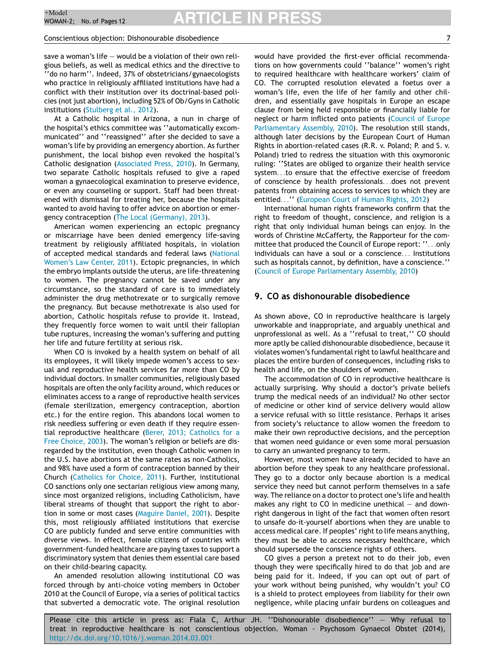#### Conscientious objection: Dishonourable disobedience 7

save a woman's life — would be a violation of their own religious beliefs, as well as medical ethics and the directive to ''do no harm''. Indeed, 37% of obstetricians/gynaecologists who practice in religiously affiliated institutions have had a conflict with their institution over its doctrinal-based policies (not just abortion), including 52% of Ob/Gyns in Catholic institutions ([Stulberg](#page-11-0) et [al.,](#page-11-0) [2012\).](#page-11-0)

At a Catholic hospital in Arizona, a nun in charge of the hospital's ethics committee was ''automatically excommunicated'' and ''reassigned'' after she decided to save a woman's life by providing an emergency abortion. As further punishment, the local bishop even revoked the hospital's Catholic designation [\(Associated](#page-9-0) [Press,](#page-9-0) [2010\).](#page-9-0) In Germany, two separate Catholic hospitals refused to give a raped woman a gynaecological examination to preserve evidence, or even any counseling or support. Staff had been threatened with dismissal for treating her, because the hospitals wanted to avoid having to offer advice on abortion or emergency contraception [\(The](#page-11-0) [Local](#page-11-0) [\(Germany\),](#page-11-0) [2013\).](#page-11-0)

American women experiencing an ectopic pregnancy or miscarriage have been denied emergency life-saving treatment by religiously affiliated hospitals, in violation of accepted medical standards and federal laws ([National](#page-10-0) [Women's](#page-10-0) [Law](#page-10-0) [Center,](#page-10-0) [2011\).](#page-10-0) Ectopic pregnancies, in which the embryo implants outside the uterus, are life-threatening to women. The pregnancy cannot be saved under any circumstance, so the standard of care is to immediately administer the drug methotrexate or to surgically remove the pregnancy. But because methotrexate is also used for abortion, Catholic hospitals refuse to provide it. Instead, they frequently force women to wait until their fallopian tube ruptures, increasing the woman's suffering and putting her life and future fertility at serious risk.

When CO is invoked by a health system on behalf of all its employees, it will likely impede women's access to sexual and reproductive health services far more than CO by individual doctors. In smaller communities, religiously based hospitals are often the only facility around, which reduces or eliminates access to a range of reproductive health services (female sterilization, emergency contraception, abortion etc.) for the entire region. This abandons local women to risk needless suffering or even death if they require essential reproductive healthcare [\(Berer,](#page-9-0) [2013;](#page-9-0) [Catholics](#page-9-0) [for](#page-9-0) [a](#page-9-0) [Free](#page-9-0) [Choice,](#page-9-0) [2003\).](#page-9-0) The woman's religion or beliefs are disregarded by the institution, even though Catholic women in the U.S. have abortions at the same rates as non-Catholics, and 98% have used a form of contraception banned by their Church ([Catholics](#page-9-0) [for](#page-9-0) [Choice,](#page-9-0) [2011\).](#page-9-0) Further, institutional CO sanctions only one sectarian religious view among many, since most organized religions, including Catholicism, have liberal streams of thought that support the right to abortion in some or most cases [\(Maguire](#page-10-0) [Daniel,](#page-10-0) [2001\).](#page-10-0) Despite this, most religiously affiliated institutions that exercise CO are publicly funded and serve entire communities with diverse views. In effect, female citizens of countries with government-funded healthcare are paying taxes to support a discriminatory system that denies them essential care based on their child-bearing capacity.

An amended resolution allowing institutional CO was forced through by anti-choice voting members in October 2010 at the Council of Europe, via a series of political tactics that subverted a democratic vote. The original resolution

would have provided the first-ever official recommendations on how governments could ''balance'' women's right to required healthcare with healthcare workers' claim of CO. The corrupted resolution elevated a foetus over a woman's life, even the life of her family and other children, and essentially gave hospitals in Europe an escape clause from being held responsible or financially liable for neglect or harm inflicted onto patients [\(Council](#page-9-0) [of](#page-9-0) [Europe](#page-9-0) [Parliamentary](#page-9-0) [Assembly,](#page-9-0) [2010\).](#page-9-0) The resolution still stands, although later decisions by the European Court of Human Rights in abortion-related cases (R.R. v. Poland; P. and S. v. Poland) tried to redress the situation with this oxymoronic ruling: ''States are obliged to organize their health service system. . .to ensure that the effective exercise of freedom of conscience by health professionals. . .does not prevent patents from obtaining access to services to which they are entitled. . .'' [\(European](#page-9-0) [Court](#page-9-0) [of](#page-9-0) [Human](#page-9-0) [Rights,](#page-9-0) [2012\)](#page-9-0)

International human rights frameworks confirm that the right to freedom of thought, conscience, and religion is a right that only individual human beings can enjoy. In the words of Christine McCafferty, the Rapporteur for the committee that produced the Council of Europe report: ''. . .only individuals can have a soul or a conscience... Institutions such as hospitals cannot, by definition, have a conscience.'' ([Council](#page-9-0) [of](#page-9-0) [Europe](#page-9-0) [Parliamentary](#page-9-0) [Assembly,](#page-9-0) [2010\)](#page-9-0)

#### **9. CO as dishonourable disobedience**

As shown above, CO in reproductive healthcare is largely unworkable and inappropriate, and arguably unethical and unprofessional as well. As a ''refusal to treat,'' CO should more aptly be called dishonourable disobedience, because it violates women's fundamental right to lawful healthcare and places the entire burden of consequences, including risks to health and life, on the shoulders of women.

The accommodation of CO in reproductive healthcare is actually surprising. Why should a doctor's private beliefs trump the medical needs of an individual? No other sector of medicine or other kind of service delivery would allow a service refusal with so little resistance. Perhaps it arises from society's reluctance to allow women the freedom to make their own reproductive decisions, and the perception that women need guidance or even some moral persuasion to carry an unwanted pregnancy to term.

However, most women have already decided to have an abortion before they speak to any healthcare professional. They go to a doctor only because abortion is a medical service they need but cannot perform themselves in a safe way. The reliance on a doctor to protect one's life and health makes any right to CO in medicine unethical  $-$  and downright dangerous in light of the fact that women often resort to unsafe do-it-yourself abortions when they are unable to access medical care. If peoples' right to life means anything, they must be able to access necessary healthcare, which should supersede the conscience rights of others.

CO gives a person a pretext not to do their job, even though they were specifically hired to do that job and are being paid for it. Indeed, if you can opt out of part of your work without being punished, why wouldn't you? CO is a shield to protect employees from liability for their own negligence, while placing unfair burdens on colleagues and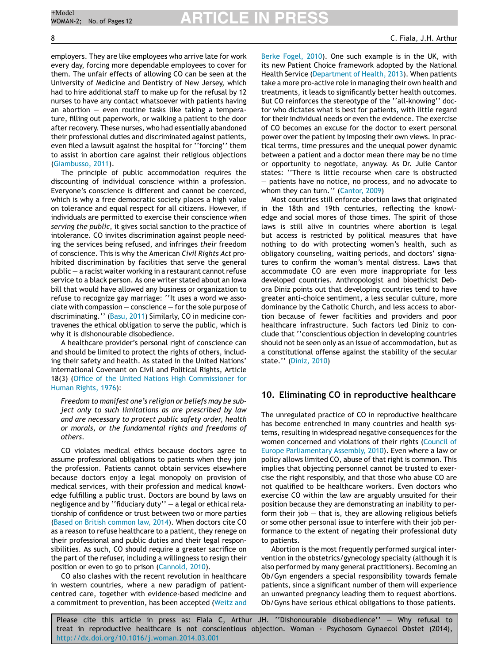employers. They are like employees who arrive late for work every day, forcing more dependable employees to cover for them. The unfair effects of allowing CO can be seen at the University of Medicine and Dentistry of New Jersey, which had to hire additional staff to make up for the refusal by 12 nurses to have any contact whatsoever with patients having an abortion  $-$  even routine tasks like taking a temperature, filling out paperwork, or walking a patient to the door after recovery. These nurses, who had essentially abandoned their professional duties and discriminated against patients, even filed a lawsuit against the hospital for ''forcing'' them to assist in abortion care against their religious objections [\(Giambusso,](#page-10-0) [2011\).](#page-10-0)

The principle of public accommodation requires the discounting of individual conscience within a profession. Everyone's conscience is different and cannot be coerced, which is why a free democratic society places a high value on tolerance and equal respect for all citizens. However, if individuals are permitted to exercise their conscience *when serving the public*, it gives social sanction to the practice of intolerance. CO invites discrimination against people needing the services being refused, and infringes *their* freedom of conscience. This is why the American *Civil Rights Act* prohibited discrimination by facilities that serve the general  $public - a$  racist waiter working in a restaurant cannot refuse service to a black person. As one writer stated about an Iowa bill that would have allowed any business or organization to refuse to recognize gay marriage: ''It uses a word we associate with compassion  $-$  conscience  $-$  for the sole purpose of discriminating.'' [\(Basu,](#page-9-0) [2011\)](#page-9-0) Similarly, CO in medicine contravenes the ethical obligation to serve the public, which is why it is dishonourable disobedience.

A healthcare provider's personal right of conscience can and should be limited to protect the rights of others, including their safety and health. As stated in the United Nations' International Covenant on Civil and Political Rights, Article 18(3) [\(Office](#page-10-0) [of](#page-10-0) [the](#page-10-0) [United](#page-10-0) [Nations](#page-10-0) [High](#page-10-0) [Commissioner](#page-10-0) [for](#page-10-0) [Human](#page-10-0) [Rights,](#page-10-0) [1976\):](#page-10-0)

*Freedom to manifest one's religion or beliefs may be subject only to such limitations as are prescribed by law and are necessary to protect public safety order, health or morals, or the fundamental rights and freedoms of others*.

CO violates medical ethics because doctors agree to assume professional obligations to patients when they join the profession. Patients cannot obtain services elsewhere because doctors enjoy a legal monopoly on provision of medical services, with their profession and medical knowledge fulfilling a public trust. Doctors are bound by laws on negligence and by ''fiduciary duty'' — a legal or ethical relationship of confidence or trust between two or more parties [\(Based](#page-9-0) [on](#page-9-0) [British](#page-9-0) [common](#page-9-0) [law,](#page-9-0) [2014\).](#page-9-0) When doctors cite CO as a reason to refuse healthcare to a patient, they renege on their professional and public duties and their legal responsibilities. As such, CO should require a greater sacrifice on the part of the refuser, including a willingness to resign their position or even to go to prison ([Cannold,](#page-9-0) [2010\).](#page-9-0)

CO also clashes with the recent revolution in healthcare in western countries, where a new paradigm of patientcentred care, together with evidence-based medicine and a commitment to prevention, has been accepted ([Weitz](#page-11-0) [and](#page-11-0)

[Berke](#page-11-0) [Fogel,](#page-11-0) [2010\).](#page-11-0) One such example is in the UK, with its new Patient Choice framework adopted by the National Health Service ([Department](#page-9-0) [of](#page-9-0) [Health,](#page-9-0) [2013\).](#page-9-0) When patients take a more pro-active role in managing their own health and treatments, it leads to significantly better health outcomes. But CO reinforces the stereotype of the ''all-knowing'' doctor who dictates what is best for patients, with little regard for their individual needs or even the evidence. The exercise of CO becomes an excuse for the doctor to exert personal power over the patient by imposing their own views. In practical terms, time pressures and the unequal power dynamic between a patient and a doctor mean there may be no time or opportunity to negotiate, anyway. As Dr. Julie Cantor states: ''There is little recourse when care is obstructed — patients have no notice, no process, and no advocate to whom they can turn.'' [\(Cantor,](#page-9-0) [2009\)](#page-9-0)

Most countries still enforce abortion laws that originated in the 18th and 19th centuries, reflecting the knowledge and social mores of those times. The spirit of those laws is still alive in countries where abortion is legal but access is restricted by political measures that have nothing to do with protecting women's health, such as obligatory counseling, waiting periods, and doctors' signatures to confirm the woman's mental distress. Laws that accommodate CO are even more inappropriate for less developed countries. Anthropologist and bioethicist Debora Diniz points out that developing countries tend to have greater anti-choice sentiment, a less secular culture, more dominance by the Catholic Church, and less access to abortion because of fewer facilities and providers and poor healthcare infrastructure. Such factors led Diniz to conclude that ''conscientious objection in developing countries should not be seen only as an issue of accommodation, but as a constitutional offense against the stability of the secular state.'' [\(Diniz,](#page-9-0) [2010\)](#page-9-0)

### **10. Eliminating CO in reproductive healthcare**

The unregulated practice of CO in reproductive healthcare has become entrenched in many countries and health systems, resulting in widespread negative consequences for the women concerned and violations of their rights [\(Council](#page-9-0) [of](#page-9-0) [Europe](#page-9-0) [Parliamentary](#page-9-0) [Assembly,](#page-9-0) [2010\).](#page-9-0) Even where a law or policy allows limited CO, abuse of that right is common. This implies that objecting personnel cannot be trusted to exercise the right responsibly, and that those who abuse CO are not qualified to be healthcare workers. Even doctors who exercise CO within the law are arguably unsuited for their position because they are demonstrating an inability to perform their job  $-$  that is, they are allowing religious beliefs or some other personal issue to interfere with their job performance to the extent of negating their professional duty to patients.

Abortion is the most frequently performed surgical intervention in the obstetrics/gynecology specialty (although it is also performed by many general practitioners). Becoming an Ob/Gyn engenders a special responsibility towards female patients, since a significant number of them will experience an unwanted pregnancy leading them to request abortions. Ob/Gyns have serious ethical obligations to those patients.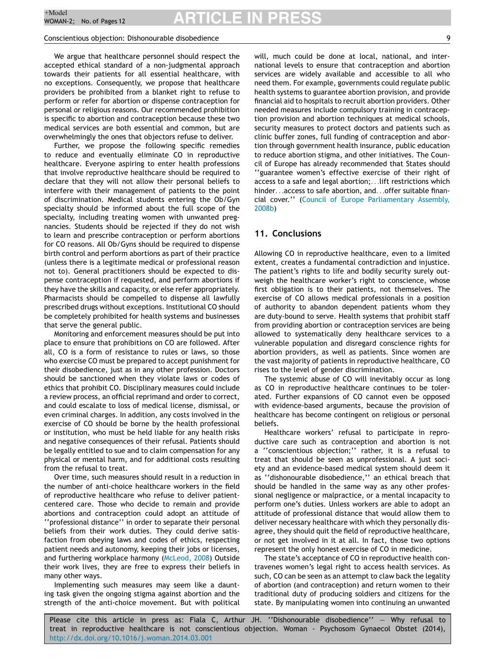#### Conscientious objection: Dishonourable disobedience 9

We argue that healthcare personnel should respect the accepted ethical standard of a non-judgmental approach towards their patients for all essential healthcare, with no exceptions. Consequently, we propose that healthcare providers be prohibited from a blanket right to refuse to perform or refer for abortion or dispense contraception for personal or religious reasons. Our recommended prohibition is specific to abortion and contraception because these two medical services are both essential and common, but are overwhelmingly the ones that objectors refuse to deliver.

Further, we propose the following specific remedies to reduce and eventually eliminate CO in reproductive healthcare. Everyone aspiring to enter health professions that involve reproductive healthcare should be required to declare that they will not allow their personal beliefs to interfere with their management of patients to the point of discrimination. Medical students entering the Ob/Gyn specialty should be informed about the full scope of the specialty, including treating women with unwanted pregnancies. Students should be rejected if they do not wish to learn and prescribe contraception or perform abortions for CO reasons. All Ob/Gyns should be required to dispense birth control and perform abortions as part of their practice (unless there is a legitimate medical or professional reason not to). General practitioners should be expected to dispense contraception if requested, and perform abortions if they have the skills and capacity, or else refer appropriately. Pharmacists should be compelled to dispense all lawfully prescribed drugs without exceptions. Institutional CO should be completely prohibited for health systems and businesses that serve the general public.

Monitoring and enforcement measures should be put into place to ensure that prohibitions on CO are followed. After all, CO is a form of resistance to rules or laws, so those who exercise CO must be prepared to accept punishment for their disobedience, just as in any other profession. Doctors should be sanctioned when they violate laws or codes of ethics that prohibit CO. Disciplinary measures could include a review process, an official reprimand and order to correct, and could escalate to loss of medical license, dismissal, or even criminal charges. In addition, any costs involved in the exercise of CO should be borne by the health professional or institution, who must be held liable for any health risks and negative consequences of their refusal. Patients should be legally entitled to sue and to claim compensation for any physical or mental harm, and for additional costs resulting from the refusal to treat.

Over time, such measures should result in a reduction in the number of anti-choice healthcare workers in the field of reproductive healthcare who refuse to deliver patientcentered care. Those who decide to remain and provide abortions and contraception could adopt an attitude of ''professional distance'' in order to separate their personal beliefs from their work duties. They could derive satisfaction from obeying laws and codes of ethics, respecting patient needs and autonomy, keeping their jobs or licenses, and furthering workplace harmony [\(McLeod,](#page-10-0) [2008\)](#page-10-0) Outside their work lives, they are free to express their beliefs in many other ways.

Implementing such measures may seem like a daunting task given the ongoing stigma against abortion and the strength of the anti-choice movement. But with political will, much could be done at local, national, and international levels to ensure that contraception and abortion services are widely available and accessible to all who need them. For example, governments could regulate public health systems to guarantee abortion provision, and provide financial aid to hospitals to recruit abortion providers. Other needed measures include compulsory training in contraception provision and abortion techniques at medical schools, security measures to protect doctors and patients such as clinic buffer zones, full funding of contraception and abortion through government health insurance, public education to reduce abortion stigma, and other initiatives. The Council of Europe has already recommended that States should ''guarantee women's effective exercise of their right of access to a safe and legal abortion;. . .lift restrictions which hinder...access to safe abortion, and...offer suitable financial cover.'' ([Council](#page-9-0) [of](#page-9-0) [Europe](#page-9-0) [Parliamentary](#page-9-0) [Assembly,](#page-9-0) [2008b\)](#page-9-0)

#### **11. Conclusions**

Allowing CO in reproductive healthcare, even to a limited extent, creates a fundamental contradiction and injustice. The patient's rights to life and bodily security surely outweigh the healthcare worker's right to conscience, whose first obligation is to their patients, not themselves. The exercise of CO allows medical professionals in a position of authority to abandon dependent patients whom they are duty-bound to serve. Health systems that prohibit staff from providing abortion or contraception services are being allowed to systematically deny healthcare services to a vulnerable population and disregard conscience rights for abortion providers, as well as patients. Since women are the vast majority of patients in reproductive healthcare, CO rises to the level of gender discrimination.

The systemic abuse of CO will inevitably occur as long as CO in reproductive healthcare continues to be tolerated. Further expansions of CO cannot even be opposed with evidence-based arguments, because the provision of healthcare has become contingent on religious or personal beliefs.

Healthcare workers' refusal to participate in reproductive care such as contraception and abortion is not a ''conscientious objection;'' rather, it is a refusal to treat that should be seen as unprofessional. A just society and an evidence-based medical system should deem it as ''dishonourable disobedience,'' an ethical breach that should be handled in the same way as any other professional negligence or malpractice, or a mental incapacity to perform one's duties. Unless workers are able to adopt an attitude of professional distance that would allow them to deliver necessary healthcare with which they personally disagree, they should quit the field of reproductive healthcare, or not get involved in it at all. In fact, those two options represent the only honest exercise of CO in medicine.

The state's acceptance of CO in reproductive health contravenes women's legal right to access health services. As such, CO can be seen as an attempt to claw back the legality of abortion (and contraception) and return women to their traditional duty of producing soldiers and citizens for the state. By manipulating women into continuing an unwanted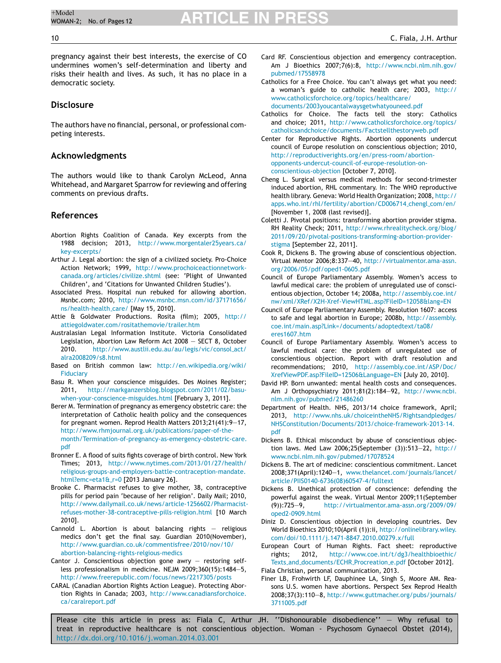<span id="page-9-0"></span>pregnancy against their best interests, the exercise of CO undermines women's self-determination and liberty and risks their health and lives. As such, it has no place in a democratic society.

### **Disclosure**

The authors have no financial, personal, or professional competing interests.

### **Acknowledgments**

The authors would like to thank Carolyn McLeod, Anna Whitehead, and Margaret Sparrow for reviewing and offering comments on previous drafts.

## **References**

- Abortion Rights Coalition of Canada. Key excerpts from the 1988 decision; 2013, [http://www.morgentaler25years.ca/](http://www.morgentaler25years.ca/key-excerpts/) [key-excerpts/](http://www.morgentaler25years.ca/key-excerpts/)
- Arthur J. Legal abortion: the sign of a civilized society. Pro-Choice Action Network; 1999, [http://www.prochoiceactionnetwork](http://www.prochoiceactionnetwork-canada.org/articles/civilize.shtml)[canada.org/articles/civilize.shtml](http://www.prochoiceactionnetwork-canada.org/articles/civilize.shtml) (see: 'Plight of Unwanted Children', and 'Citations for Unwanted Children Studies').
- Associated Press. Hospital nun rebuked for allowing abortion. Msnbc.com; 2010, [http://www.msnbc.msn.com/id/37171656/](http://www.msnbc.msn.com/id/37171656/ns/health-health_care/) [ns/health-health](http://www.msnbc.msn.com/id/37171656/ns/health-health_care/) care/ [May 15, 2010].
- Attie & Goldwater Productions. Rosita (film); 2005, [http://](http://attiegoldwater.com/rositathemovie/trailer.htm) [attiegoldwater.com/rositathemovie/trailer.htm](http://attiegoldwater.com/rositathemovie/trailer.htm)
- Australasian Legal Information Institute. Victoria Consolidated Legislation, Abortion Law Reform Act 2008 — SECT 8, October 2010. [http://www.austlii.edu.au/au/legis/vic/consol](http://www.austlii.edu.au/au/legis/vic/consol_act/alra2008209/s8.html) act/ [alra2008209/s8.html](http://www.austlii.edu.au/au/legis/vic/consol_act/alra2008209/s8.html)
- Based on British common law: [http://en.wikipedia.org/wiki/](http://en.wikipedia.org/wiki/Fiduciary) [Fiduciary](http://en.wikipedia.org/wiki/Fiduciary)
- Basu R. When your conscience misguides. Des Moines Register; 2011, [http://markganzersblog.blogspot.com/2011/02/basu](http://markganzersblog.blogspot.com/2011/02/basu-when-your-conscience-misguides.html)[when-your-conscience-misguides.html](http://markganzersblog.blogspot.com/2011/02/basu-when-your-conscience-misguides.html) [February 3, 2011].
- Berer M. Termination of pregnancy as emergency obstetric care: the interpretation of Catholic health policy and the consequences for pregnant women. Reprod Health Matters 2013;21(41):9—17, [http://www.rhmjournal.org.uk/publications/paper-of-the](http://www.rhmjournal.org.uk/publications/paper-of-the-month/Termination-of-pregnancy-as-emergency-obstetric-care.pdf)[month/Termination-of-pregnancy-as-emergency-obstetric-care.](http://www.rhmjournal.org.uk/publications/paper-of-the-month/Termination-of-pregnancy-as-emergency-obstetric-care.pdf) [pdf](http://www.rhmjournal.org.uk/publications/paper-of-the-month/Termination-of-pregnancy-as-emergency-obstetric-care.pdf)
- Bronner E. A flood of suits fights coverage of birth control. New York Times; 2013, [http://www.nytimes.com/2013/01/27/health/](http://www.nytimes.com/2013/01/27/health/religious-groups-and-employers-battle-contraception-mandate.html?emc=eta1&_r=0) [religious-groups-and-employers-battle-contraception-mandate.](http://www.nytimes.com/2013/01/27/health/religious-groups-and-employers-battle-contraception-mandate.html?emc=eta1&_r=0) [html?emc=eta1&](http://www.nytimes.com/2013/01/27/health/religious-groups-and-employers-battle-contraception-mandate.html?emc=eta1&_r=0) r=0 [2013 January 26].
- Brooke C. Pharmacist refuses to give mother, 38, contraceptive pills for period pain 'because of her religion'. Daily Mail; 2010, [http://www.dailymail.co.uk/news/article-1256602/Pharmacist](http://www.dailymail.co.uk/news/article-1256602/Pharmacist-refuses-mother-38-contraceptive-pills-religion.html)[refuses-mother-38-contraceptive-pills-religion.html](http://www.dailymail.co.uk/news/article-1256602/Pharmacist-refuses-mother-38-contraceptive-pills-religion.html) [10 March 2010].
- Cannold L. Abortion is about balancing rights religious medics don't get the final say. Guardian 2010(November), [http://www.guardian.co.uk/commentisfree/2010/nov/10/](http://www.guardian.co.uk/commentisfree/2010/nov/10/abortion-balancing-rights-relgious-medics) [abortion-balancing-rights-relgious-medics](http://www.guardian.co.uk/commentisfree/2010/nov/10/abortion-balancing-rights-relgious-medics)
- Cantor J. Conscientious objection gone awry  $-$  restoring selfless professionalism in medicine. NEJM 2009;360(15):1484—5, <http://www.freerepublic.com/focus/news/2217305/posts>
- CARAL (Canadian Abortion Rights Action League). Protecting Abortion Rights in Canada; 2003, [http://www.canadiansforchoice.](http://www.canadiansforchoice.ca/caralreport.pdf) [ca/caralreport.pdf](http://www.canadiansforchoice.ca/caralreport.pdf)
- Card RF. Conscientious objection and emergency contraception. Am J Bioethics 2007;7(6):8, [http://www.ncbi.nlm.nih.gov/](http://www.ncbi.nlm.nih.gov/pubmed/17558978) [pubmed/17558978](http://www.ncbi.nlm.nih.gov/pubmed/17558978)
- Catholics for a Free Choice. You can't always get what you need: a woman's guide to catholic health care; 2003, [http://](http://www.catholicsforchoice.org/topics/healthcare/documents/2003youcantalwaysgetwhatyouneed.pdf) [www.catholicsforchoice.org/topics/healthcare/](http://www.catholicsforchoice.org/topics/healthcare/documents/2003youcantalwaysgetwhatyouneed.pdf) [documents/2003youcantalwaysgetwhatyouneed.pdf](http://www.catholicsforchoice.org/topics/healthcare/documents/2003youcantalwaysgetwhatyouneed.pdf)

Catholics for Choice. The facts tell the story: Catholics and choice; 2011, [http://www.catholicsforchoice.org/topics/](http://www.catholicsforchoice.org/topics/catholicsandchoice/documents/Factstellthestoryweb.pdf)

- [catholicsandchoice/documents/Factstellthestoryweb.pdf](http://www.catholicsforchoice.org/topics/catholicsandchoice/documents/Factstellthestoryweb.pdf) Center for Reproductive Rights. Abortion opponents undercut council of Europe resolution on conscientious objection; 2010, [http://reproductiverights.org/en/press-room/abortion](http://reproductiverights.org/en/press-room/abortion-opponents-undercut-council-of-europe-resolution-on-conscientious-objection)[opponents-undercut-council-of-europe-resolution-on](http://reproductiverights.org/en/press-room/abortion-opponents-undercut-council-of-europe-resolution-on-conscientious-objection)[conscientious-objection](http://reproductiverights.org/en/press-room/abortion-opponents-undercut-council-of-europe-resolution-on-conscientious-objection) [October 7, 2010].
- Cheng L. Surgical versus medical methods for second-trimester induced abortion, RHL commentary. In: The WHO reproductive health library. Geneva: World Health Organization; 2008, [http://](http://apps.who.int/rhl/fertility/abortion/CD006714_chengl_com/en/) [apps.who.int/rhl/fertility/abortion/CD006714](http://apps.who.int/rhl/fertility/abortion/CD006714_chengl_com/en/)\_chengl\_com/en/ [November 1, 2008 (last revised)].
- Coletti J. Pivotal positions: transforming abortion provider stigma. RH Reality Check; 2011, [http://www.rhrealitycheck.org/blog/](http://www.rhrealitycheck.org/blog/2011/09/20/pivotal-positions-transforming-abortion-provider-stigma) [2011/09/20/pivotal-positions-transforming-abortion-provider](http://www.rhrealitycheck.org/blog/2011/09/20/pivotal-positions-transforming-abortion-provider-stigma)[stigma](http://www.rhrealitycheck.org/blog/2011/09/20/pivotal-positions-transforming-abortion-provider-stigma) [September 22, 2011].
- Cook R, Dickens B. The growing abuse of conscientious objection. Virtual Mentor 2006;8:337—40, [http://virtualmentor.ama-assn.](http://virtualmentor.ama-assn.org/2006/05/pdf/oped1-0605.pdf) [org/2006/05/pdf/oped1-0605.pdf](http://virtualmentor.ama-assn.org/2006/05/pdf/oped1-0605.pdf)
- Council of Europe Parliamentary Assembly. Women's access to lawful medical care: the problem of unregulated use of conscientious objection, October 14; 2008a, [http://assembly.coe.int/](http://assembly.coe.int/nw/xml/XRef/X2H-Xref-ViewHTML.asp?FileID=12058&lang=EN) [nw/xml/XRef/X2H-Xref-ViewHTML.asp?FileID=12058&lang=EN](http://assembly.coe.int/nw/xml/XRef/X2H-Xref-ViewHTML.asp?FileID=12058&lang=EN)
- Council of Europe Parliamentary Assembly. Resolution 1607: access to safe and legal abortion in Europe; 2008b, [http://assembly.](http://assembly.coe.int/main.asp?Link=/documents/adoptedtext/ta08/eres1607.htm) [coe.int/main.asp?Link=/documents/adoptedtext/ta08/](http://assembly.coe.int/main.asp?Link=/documents/adoptedtext/ta08/eres1607.htm) [eres1607.htm](http://assembly.coe.int/main.asp?Link=/documents/adoptedtext/ta08/eres1607.htm)
- Council of Europe Parliamentary Assembly. Women's access to lawful medical care: the problem of unregulated use of conscientious objection. Report with draft resolution and recommendations; 2010, [http://assembly.coe.int/ASP/Doc/](http://assembly.coe.int/ASP/Doc/XrefViewPDF.asp?FileID=12506&Language=EN) [XrefViewPDF.asp?FileID=12506&Language=EN](http://assembly.coe.int/ASP/Doc/XrefViewPDF.asp?FileID=12506&Language=EN) [July 20, 2010].
- David HP. Born unwanted: mental health costs and consequences. Am J Orthopsychiatry 2011;81(2):184—92, [http://www.ncbi.](http://www.ncbi.nlm.nih.gov/pubmed/21486260) [nlm.nih.gov/pubmed/21486260](http://www.ncbi.nlm.nih.gov/pubmed/21486260)
- Department of Health. NHS, 2013/14 choice framework, April; 2013, [http://www.nhs.uk/choiceintheNHS/Rightsandpledges/](http://www.nhs.uk/choiceintheNHS/Rightsandpledges/NHSConstitution/Documents/2013/choice-framework-2013-14.pdf) [NHSConstitution/Documents/2013/choice-framework-2013-14.](http://www.nhs.uk/choiceintheNHS/Rightsandpledges/NHSConstitution/Documents/2013/choice-framework-2013-14.pdf) [pdf](http://www.nhs.uk/choiceintheNHS/Rightsandpledges/NHSConstitution/Documents/2013/choice-framework-2013-14.pdf)
- Dickens B. Ethical misconduct by abuse of conscientious objection laws. Med Law 2006;25(September (3)):513—22, [http://](http://www.ncbi.nlm.nih.gov/pubmed/17078524) [www.ncbi.nlm.nih.gov/pubmed/17078524](http://www.ncbi.nlm.nih.gov/pubmed/17078524)
- Dickens B. The art of medicine: conscientious commitment. Lancet 2008;371(April):1240—1, [www.thelancet.com/journals/lancet/](http://www.thelancet.com/journals/lancet/article/PIIS0140-6736(08)60547-4/fulltext) [article/PIIS0140-6736\(08\)60547-4/fulltext](http://www.thelancet.com/journals/lancet/article/PIIS0140-6736(08)60547-4/fulltext)
- Dickens B. Unethical protection of conscience: defending the powerful against the weak. Virtual Mentor 2009;11(September (9)):725—9, [http://virtualmentor.ama-assn.org/2009/09/](http://virtualmentor.ama-assn.org/2009/09/oped2-0909.html) [oped2-0909.html](http://virtualmentor.ama-assn.org/2009/09/oped2-0909.html)
- Diniz D. Conscientious objection in developing countries. Dev World Bioethics 2010;10(April (1)):ii, [http://onlinelibrary.wiley.](http://onlinelibrary.wiley.com/doi/10.1111/j.1471-8847.2010.00279.x/full) [com/doi/10.1111/j.1471-8847.2010.00279.x/full](http://onlinelibrary.wiley.com/doi/10.1111/j.1471-8847.2010.00279.x/full)
- European Court of Human Rights. Fact sheet: reproductive rights; 2012, [http://www.coe.int/t/dg3/healthbioethic/](http://www.coe.int/t/dg3/healthbioethic/Texts_and_documents/ECHR_Procreation_e.pdf) Texts\_and\_[documents/ECHR](http://www.coe.int/t/dg3/healthbioethic/Texts_and_documents/ECHR_Procreation_e.pdf)\_Procreation\_e.pdf [October 2012].
- Fiala Christian, personal communication, 2013.
- Finer LB, Frohwirth LF, Dauphinee LA, Singh S, Moore AM. Reasons U.S. women have abortions. Perspect Sex Reprod Health 2008;37(3):110—8, [http://www.guttmacher.org/pubs/journals/](http://www.guttmacher.org/pubs/journals/3711005.pdf) [3711005.pdf](http://www.guttmacher.org/pubs/journals/3711005.pdf)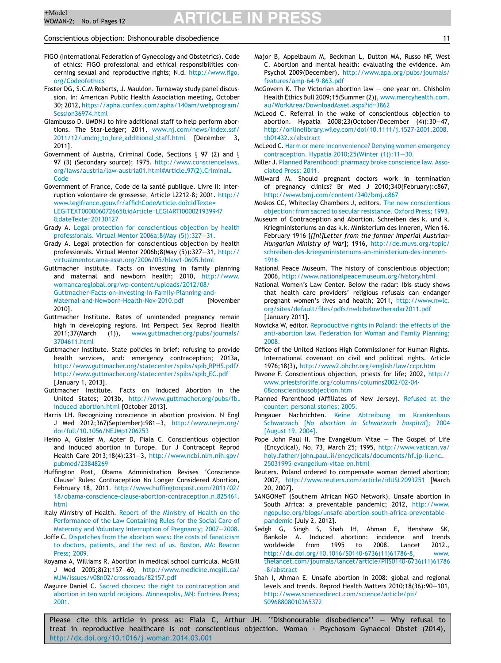#### <span id="page-10-0"></span>Conscientious objection: Dishonourable disobedience 11

- FIGO (International Federation of Gynecology and Obstetrics). Code of ethics: FIGO professional and ethical responsibilities concerning sexual and reproductive rights; N.d. [http://www.figo.](http://www.figo.org/Codeofethics) [org/Codeofethics](http://www.figo.org/Codeofethics)
- Foster DG, S.C.M Roberts, J. Mauldon. Turnaway study panel discussion. In: American Public Health Association meeting, October 30; 2012, [https://apha.confex.com/apha/140am/webprogram/](https://apha.confex.com/apha/140am/webprogram/Session36974.html) [Session36974.html](https://apha.confex.com/apha/140am/webprogram/Session36974.html)
- Giambusso D. UMDNJ to hire additional staff to help perform abortions. The Star-Ledger; 2011, [www.nj.com/news/index.ssf/](http://www.nj.com/news/index.ssf/2011/12/umdnj_to_hire_additional_staff.html) [2011/12/umdnj](http://www.nj.com/news/index.ssf/2011/12/umdnj_to_hire_additional_staff.html) to hire additional staff.html [December 3, 2011].
- Government of Austria, Criminal Code, Sections § 97 (2) and § 97 (3) (Secondary source); 1975. [http://www.consciencelaws.](http://www.consciencelaws.org/laws/austria/law-austria01.html) [org/laws/austria/law-austria01.html#Article](http://www.consciencelaws.org/laws/austria/law-austria01.html)\_97(2)\_Criminal\_ [Code](http://www.consciencelaws.org/laws/austria/law-austria01.html)
- Government of France, Code de la santé publique. Livre II: Interruption volontaire de grossesse, Article L2212-8; 2001. [http://](http://www.legifrance.gouv.fr/affichCodeArticle.do?cidTexte=LEGITEXT000006072665&idArticle=LEGIARTI000021939947&dateTexte=20130127) [www.legifrance.gouv.fr/affichCodeArticle.do?cidTexte=](http://www.legifrance.gouv.fr/affichCodeArticle.do?cidTexte=LEGITEXT000006072665&idArticle=LEGIARTI000021939947&dateTexte=20130127) [LEGITEXT000006072665&idArticle=LEGIARTI000021939947](http://www.legifrance.gouv.fr/affichCodeArticle.do?cidTexte=LEGITEXT000006072665&idArticle=LEGIARTI000021939947&dateTexte=20130127) [&dateTexte=20130127](http://www.legifrance.gouv.fr/affichCodeArticle.do?cidTexte=LEGITEXT000006072665&idArticle=LEGIARTI000021939947&dateTexte=20130127)
- Grady A. [Legal](http://refhub.elsevier.com/S2213-560X(14)00003-4/sbref0065) [protection](http://refhub.elsevier.com/S2213-560X(14)00003-4/sbref0065) [for](http://refhub.elsevier.com/S2213-560X(14)00003-4/sbref0065) [conscientious](http://refhub.elsevier.com/S2213-560X(14)00003-4/sbref0065) [objection](http://refhub.elsevier.com/S2213-560X(14)00003-4/sbref0065) [by](http://refhub.elsevier.com/S2213-560X(14)00003-4/sbref0065) [health](http://refhub.elsevier.com/S2213-560X(14)00003-4/sbref0065) [professionals.](http://refhub.elsevier.com/S2213-560X(14)00003-4/sbref0065) [Virtual](http://refhub.elsevier.com/S2213-560X(14)00003-4/sbref0065) [Mentor](http://refhub.elsevier.com/S2213-560X(14)00003-4/sbref0065) [2006a;8\(May](http://refhub.elsevier.com/S2213-560X(14)00003-4/sbref0065) [\(5\)\):327—31.](http://refhub.elsevier.com/S2213-560X(14)00003-4/sbref0065)
- Grady A. Legal protection for conscientious objection by health professionals. Virtual Mentor 2006b;8(May (5)):327—31, [http://](http://virtualmentor.ama-assn.org/2006/05/hlaw1-0605.html) [virtualmentor.ama-assn.org/2006/05/hlaw1-0605.html](http://virtualmentor.ama-assn.org/2006/05/hlaw1-0605.html)
- Guttmacher Institute. Facts on investing in family planning and maternal and newborn health; 2010, [http://www.](http://www.womancareglobal.org/wp-content/uploads/2012/08/Guttmacher-Facts-on-Investing-in-Family-Planning-and-Maternal-and-Newborn-Health-Nov-2010.pdf) [womancareglobal.org/wp-content/uploads/2012/08/](http://www.womancareglobal.org/wp-content/uploads/2012/08/Guttmacher-Facts-on-Investing-in-Family-Planning-and-Maternal-and-Newborn-Health-Nov-2010.pdf) [Guttmacher-Facts-on-Investing-in-Family-Planning-and-](http://www.womancareglobal.org/wp-content/uploads/2012/08/Guttmacher-Facts-on-Investing-in-Family-Planning-and-Maternal-and-Newborn-Health-Nov-2010.pdf)[Maternal-and-Newborn-Health-Nov-2010.pdf](http://www.womancareglobal.org/wp-content/uploads/2012/08/Guttmacher-Facts-on-Investing-in-Family-Planning-and-Maternal-and-Newborn-Health-Nov-2010.pdf) [November 2010].
- Guttmacher Institute. Rates of unintended pregnancy remain high in developing regions. Int Perspect Sex Reprod Health 2011;37(March (1)), [www.guttmacher.org/pubs/journals/](http://www.guttmacher.org/pubs/journals/3704611.html) [3704611.html](http://www.guttmacher.org/pubs/journals/3704611.html)
- Guttmacher Institute. State policies in brief: refusing to provide health services, and: emergency contraception; 2013a, [http://www.guttmacher.org/statecenter/spibs/spib](http://www.guttmacher.org/statecenter/spibs/spib_RPHS.pdf)\_RPHS.pdf/ [http://www.guttmacher.org/statecenter/spibs/spib](http://www.guttmacher.org/statecenter/spibs/spib_EC.pdf) EC.pdf [January 1, 2013].
- Guttmacher Institute. Facts on Induced Abortion in the United States; 2013b, [http://www.guttmacher.org/pubs/fb](http://www.guttmacher.org/pubs/fb_induced_abortion.html) induced [abortion.html](http://www.guttmacher.org/pubs/fb_induced_abortion.html) [October 2013].
- Harris LH. Recognizing conscience in abortion provision. N Engl J Med 2012;367(September):981—3, [http://www.nejm.org/](http://www.nejm.org/doi/full/10.1056/NEJMp1206253) [doi/full/10.1056/NEJMp1206253](http://www.nejm.org/doi/full/10.1056/NEJMp1206253)
- Heino A, Gissler M, Apter D, Fiala C. Conscientious objection and induced abortion in Europe. Eur J Contracept Reprod Health Care 2013;18(4):231—3, [http://www.ncbi.nlm.nih.gov/](http://www.ncbi.nlm.nih.gov/pubmed/23848269) [pubmed/23848269](http://www.ncbi.nlm.nih.gov/pubmed/23848269)
- Huffington Post, Obama Administration Revises 'Conscience Clause' Rules: Contraception No Longer Considered Abortion, February 18, 2011. [http://www.huffingtonpost.com/2011/02/](http://www.huffingtonpost.com/2011/02/18/obama-conscience-clause-abortion-contraception_n_825461.html) [18/obama-conscience-clause-abortion-contraception](http://www.huffingtonpost.com/2011/02/18/obama-conscience-clause-abortion-contraception_n_825461.html)\_n\_825461. [html](http://www.huffingtonpost.com/2011/02/18/obama-conscience-clause-abortion-contraception_n_825461.html)
- Italy Ministry of Health. [Report](http://refhub.elsevier.com/S2213-560X(14)00003-4/sbref0165) [of](http://refhub.elsevier.com/S2213-560X(14)00003-4/sbref0165) [the](http://refhub.elsevier.com/S2213-560X(14)00003-4/sbref0165) [Ministry](http://refhub.elsevier.com/S2213-560X(14)00003-4/sbref0165) [of](http://refhub.elsevier.com/S2213-560X(14)00003-4/sbref0165) [Health](http://refhub.elsevier.com/S2213-560X(14)00003-4/sbref0165) [on](http://refhub.elsevier.com/S2213-560X(14)00003-4/sbref0165) [the](http://refhub.elsevier.com/S2213-560X(14)00003-4/sbref0165) [Performance](http://refhub.elsevier.com/S2213-560X(14)00003-4/sbref0165) [of](http://refhub.elsevier.com/S2213-560X(14)00003-4/sbref0165) [the](http://refhub.elsevier.com/S2213-560X(14)00003-4/sbref0165) [Law](http://refhub.elsevier.com/S2213-560X(14)00003-4/sbref0165) [Containing](http://refhub.elsevier.com/S2213-560X(14)00003-4/sbref0165) [Rules](http://refhub.elsevier.com/S2213-560X(14)00003-4/sbref0165) [for](http://refhub.elsevier.com/S2213-560X(14)00003-4/sbref0165) [the](http://refhub.elsevier.com/S2213-560X(14)00003-4/sbref0165) [Social](http://refhub.elsevier.com/S2213-560X(14)00003-4/sbref0165) [Care](http://refhub.elsevier.com/S2213-560X(14)00003-4/sbref0165) [of](http://refhub.elsevier.com/S2213-560X(14)00003-4/sbref0165) [Maternity](http://refhub.elsevier.com/S2213-560X(14)00003-4/sbref0165) [and](http://refhub.elsevier.com/S2213-560X(14)00003-4/sbref0165) [Voluntary](http://refhub.elsevier.com/S2213-560X(14)00003-4/sbref0165) [Interruption](http://refhub.elsevier.com/S2213-560X(14)00003-4/sbref0165) [of](http://refhub.elsevier.com/S2213-560X(14)00003-4/sbref0165) [Pregnancy;](http://refhub.elsevier.com/S2213-560X(14)00003-4/sbref0165) [2007](http://refhub.elsevier.com/S2213-560X(14)00003-4/sbref0165)—[2008.](http://refhub.elsevier.com/S2213-560X(14)00003-4/sbref0165)
- Joffe C. [Dispatches](http://refhub.elsevier.com/S2213-560X(14)00003-4/sbref0280) [from](http://refhub.elsevier.com/S2213-560X(14)00003-4/sbref0280) [the](http://refhub.elsevier.com/S2213-560X(14)00003-4/sbref0280) [abortion](http://refhub.elsevier.com/S2213-560X(14)00003-4/sbref0280) [wars:](http://refhub.elsevier.com/S2213-560X(14)00003-4/sbref0280) [the](http://refhub.elsevier.com/S2213-560X(14)00003-4/sbref0280) [costs](http://refhub.elsevier.com/S2213-560X(14)00003-4/sbref0280) [of](http://refhub.elsevier.com/S2213-560X(14)00003-4/sbref0280) [fanaticism](http://refhub.elsevier.com/S2213-560X(14)00003-4/sbref0280) [to](http://refhub.elsevier.com/S2213-560X(14)00003-4/sbref0280) [doctors,](http://refhub.elsevier.com/S2213-560X(14)00003-4/sbref0280) [patients,](http://refhub.elsevier.com/S2213-560X(14)00003-4/sbref0280) [and](http://refhub.elsevier.com/S2213-560X(14)00003-4/sbref0280) [the](http://refhub.elsevier.com/S2213-560X(14)00003-4/sbref0280) [rest](http://refhub.elsevier.com/S2213-560X(14)00003-4/sbref0280) [of](http://refhub.elsevier.com/S2213-560X(14)00003-4/sbref0280) [us.](http://refhub.elsevier.com/S2213-560X(14)00003-4/sbref0280) [Boston,](http://refhub.elsevier.com/S2213-560X(14)00003-4/sbref0280) [MA:](http://refhub.elsevier.com/S2213-560X(14)00003-4/sbref0280) [Beacon](http://refhub.elsevier.com/S2213-560X(14)00003-4/sbref0280) [Press;](http://refhub.elsevier.com/S2213-560X(14)00003-4/sbref0280) [2009.](http://refhub.elsevier.com/S2213-560X(14)00003-4/sbref0280)
- Koyama A, Williams R. Abortion in medical school curricula. McGill J Med 2005;8(2):157—60, [http://www.medicine.mcgill.ca/](http://www.medicine.mcgill.ca/MJM/issues/v08n02/crossroads/82157.pdf) [MJM/issues/v08n02/crossroads/82157.pdf](http://www.medicine.mcgill.ca/MJM/issues/v08n02/crossroads/82157.pdf)
- Maguire Daniel C. [Sacred](http://refhub.elsevier.com/S2213-560X(14)00003-4/sbref0345) [choices:](http://refhub.elsevier.com/S2213-560X(14)00003-4/sbref0345) [the](http://refhub.elsevier.com/S2213-560X(14)00003-4/sbref0345) [right](http://refhub.elsevier.com/S2213-560X(14)00003-4/sbref0345) [to](http://refhub.elsevier.com/S2213-560X(14)00003-4/sbref0345) [contraception](http://refhub.elsevier.com/S2213-560X(14)00003-4/sbref0345) [and](http://refhub.elsevier.com/S2213-560X(14)00003-4/sbref0345) [abortion](http://refhub.elsevier.com/S2213-560X(14)00003-4/sbref0345) [in](http://refhub.elsevier.com/S2213-560X(14)00003-4/sbref0345) [ten](http://refhub.elsevier.com/S2213-560X(14)00003-4/sbref0345) [world](http://refhub.elsevier.com/S2213-560X(14)00003-4/sbref0345) [religions.](http://refhub.elsevier.com/S2213-560X(14)00003-4/sbref0345) [Minneapolis,](http://refhub.elsevier.com/S2213-560X(14)00003-4/sbref0345) [MN:](http://refhub.elsevier.com/S2213-560X(14)00003-4/sbref0345) [Fortress](http://refhub.elsevier.com/S2213-560X(14)00003-4/sbref0345) [Press;](http://refhub.elsevier.com/S2213-560X(14)00003-4/sbref0345) [2001.](http://refhub.elsevier.com/S2213-560X(14)00003-4/sbref0345)
- Major B, Appelbaum M, Beckman L, Dutton MA, Russo NF, West C. Abortion and mental health: evaluating the evidence. Am Psychol 2009(December), [http://www.apa.org/pubs/journals/](http://www.apa.org/pubs/journals/features/amp-64-9-863.pdf) [features/amp-64-9-863.pdf](http://www.apa.org/pubs/journals/features/amp-64-9-863.pdf)
- McGovern K. The Victorian abortion law  $-$  one year on. Chisholm Health Ethics Bull 2009;15(Summer (2)), [www.mercyhealth.com.](http://www.mercyhealth.com.au/WorkArea/DownloadAsset.aspx?id=3862) [au/WorkArea/DownloadAsset.aspx?id=3862](http://www.mercyhealth.com.au/WorkArea/DownloadAsset.aspx?id=3862)
- McLeod C. Referral in the wake of conscientious objection to abortion. Hypatia 2008;23(October/December (4)):30—47, [http://onlinelibrary.wiley.com/doi/10.1111/j.1527-2001.2008.](http://onlinelibrary.wiley.com/doi/10.1111/j.1527-2001.2008.tb01432.x/abstract) [tb01432.x/abstract](http://onlinelibrary.wiley.com/doi/10.1111/j.1527-2001.2008.tb01432.x/abstract)
- McLeod C. [Harm](http://refhub.elsevier.com/S2213-560X(14)00003-4/sbref0160) [or](http://refhub.elsevier.com/S2213-560X(14)00003-4/sbref0160) [mere](http://refhub.elsevier.com/S2213-560X(14)00003-4/sbref0160) [inconvenience?](http://refhub.elsevier.com/S2213-560X(14)00003-4/sbref0160) [Denying](http://refhub.elsevier.com/S2213-560X(14)00003-4/sbref0160) [women](http://refhub.elsevier.com/S2213-560X(14)00003-4/sbref0160) [emergency](http://refhub.elsevier.com/S2213-560X(14)00003-4/sbref0160) [contraception.](http://refhub.elsevier.com/S2213-560X(14)00003-4/sbref0160) [Hypatia](http://refhub.elsevier.com/S2213-560X(14)00003-4/sbref0160) [2010;25\(Winter](http://refhub.elsevier.com/S2213-560X(14)00003-4/sbref0160) [\(1\)\):11](http://refhub.elsevier.com/S2213-560X(14)00003-4/sbref0160)—[30.](http://refhub.elsevier.com/S2213-560X(14)00003-4/sbref0160)
- Miller J. [Planned](http://refhub.elsevier.com/S2213-560X(14)00003-4/sbref0075) [Parenthood:](http://refhub.elsevier.com/S2213-560X(14)00003-4/sbref0075) [pharmacy](http://refhub.elsevier.com/S2213-560X(14)00003-4/sbref0075) [broke](http://refhub.elsevier.com/S2213-560X(14)00003-4/sbref0075) [conscience](http://refhub.elsevier.com/S2213-560X(14)00003-4/sbref0075) [law.](http://refhub.elsevier.com/S2213-560X(14)00003-4/sbref0075) [Asso](http://refhub.elsevier.com/S2213-560X(14)00003-4/sbref0075)[ciated](http://refhub.elsevier.com/S2213-560X(14)00003-4/sbref0075) [Press;](http://refhub.elsevier.com/S2213-560X(14)00003-4/sbref0075) [2011.](http://refhub.elsevier.com/S2213-560X(14)00003-4/sbref0075)
- Millward M. Should pregnant doctors work in termination of pregnancy clinics? Br Med J 2010;340(February):c867, <http://www.bmj.com/content/340/bmj.c867>
- Moskos CC, Whiteclay Chambers J, editors. [The](http://refhub.elsevier.com/S2213-560X(14)00003-4/sbref0005) [new](http://refhub.elsevier.com/S2213-560X(14)00003-4/sbref0005) [conscientious](http://refhub.elsevier.com/S2213-560X(14)00003-4/sbref0005) [objection:](http://refhub.elsevier.com/S2213-560X(14)00003-4/sbref0005) [from](http://refhub.elsevier.com/S2213-560X(14)00003-4/sbref0005) [sacred](http://refhub.elsevier.com/S2213-560X(14)00003-4/sbref0005) [to](http://refhub.elsevier.com/S2213-560X(14)00003-4/sbref0005) [secular](http://refhub.elsevier.com/S2213-560X(14)00003-4/sbref0005) [resistance.](http://refhub.elsevier.com/S2213-560X(14)00003-4/sbref0005) [Oxford](http://refhub.elsevier.com/S2213-560X(14)00003-4/sbref0005) [Press;](http://refhub.elsevier.com/S2213-560X(14)00003-4/sbref0005) [1993.](http://refhub.elsevier.com/S2213-560X(14)00003-4/sbref0005)
- Museum of Contraception and Abortion. Schreiben des k. und k. Kriegministeriums an das k.k. Ministerium des Inneren, Wien 16. February 1916 [*[[nl]Letter from the former Imperial Austrian-Hungarian Ministry of War*]; 1916, [http://de.muvs.org/topic/](http://de.muvs.org/topic/schreiben-des-kriegsministeriums-an-ministerium-des-inneren-1916) [schreiben-des-kriegsministeriums-an-ministerium-des-inneren-](http://de.muvs.org/topic/schreiben-des-kriegsministeriums-an-ministerium-des-inneren-1916)[1916](http://de.muvs.org/topic/schreiben-des-kriegsministeriums-an-ministerium-des-inneren-1916)
- National Peace Museum. The history of conscientious objection; 2006, <http://www.nationalpeacemuseum.org/history.html>
- National Women's Law Center. Below the radar: ibis study shows that health care providers' religious refusals can endanger pregnant women's lives and health; 2011, [http://www.nwlc.](http://www.nwlc.org/sites/default/files/pdfs/nwlcbelowtheradar2011.pdf) [org/sites/default/files/pdfs/nwlcbelowtheradar2011.pdf](http://www.nwlc.org/sites/default/files/pdfs/nwlcbelowtheradar2011.pdf) [January 2011].
- Nowicka W, editor. [Reproductive](http://refhub.elsevier.com/S2213-560X(14)00003-4/sbref0300) [rights](http://refhub.elsevier.com/S2213-560X(14)00003-4/sbref0300) [in](http://refhub.elsevier.com/S2213-560X(14)00003-4/sbref0300) [Poland:](http://refhub.elsevier.com/S2213-560X(14)00003-4/sbref0300) [the](http://refhub.elsevier.com/S2213-560X(14)00003-4/sbref0300) [effects](http://refhub.elsevier.com/S2213-560X(14)00003-4/sbref0300) [of](http://refhub.elsevier.com/S2213-560X(14)00003-4/sbref0300) [the](http://refhub.elsevier.com/S2213-560X(14)00003-4/sbref0300) [anti-abortion](http://refhub.elsevier.com/S2213-560X(14)00003-4/sbref0300) [law.](http://refhub.elsevier.com/S2213-560X(14)00003-4/sbref0300) [Federation](http://refhub.elsevier.com/S2213-560X(14)00003-4/sbref0300) [for](http://refhub.elsevier.com/S2213-560X(14)00003-4/sbref0300) [Woman](http://refhub.elsevier.com/S2213-560X(14)00003-4/sbref0300) [and](http://refhub.elsevier.com/S2213-560X(14)00003-4/sbref0300) [Family](http://refhub.elsevier.com/S2213-560X(14)00003-4/sbref0300) [Planning;](http://refhub.elsevier.com/S2213-560X(14)00003-4/sbref0300) [2008.](http://refhub.elsevier.com/S2213-560X(14)00003-4/sbref0300)
- Office of the United Nations High Commissioner for Human Rights. International covenant on civil and political rights. Article 1976;18(3), <http://www2.ohchr.org/english/law/ccpr.htm>
- Pavone F. Conscientious objection, priests for life; 2002, [http://](http://www.priestsforlife.org/columns/columns2002/02-04-08conscientiousobjection.htm) [www.priestsforlife.org/columns/columns2002/02-04-](http://www.priestsforlife.org/columns/columns2002/02-04-08conscientiousobjection.htm) [08conscientiousobjection.htm](http://www.priestsforlife.org/columns/columns2002/02-04-08conscientiousobjection.htm)
- Planned Parenthood (Affiliates of New Jersey). [Refused](http://refhub.elsevier.com/S2213-560X(14)00003-4/sbref0140) [at](http://refhub.elsevier.com/S2213-560X(14)00003-4/sbref0140) [the](http://refhub.elsevier.com/S2213-560X(14)00003-4/sbref0140) [counter:](http://refhub.elsevier.com/S2213-560X(14)00003-4/sbref0140) [personal](http://refhub.elsevier.com/S2213-560X(14)00003-4/sbref0140) [stories;](http://refhub.elsevier.com/S2213-560X(14)00003-4/sbref0140) [2005.](http://refhub.elsevier.com/S2213-560X(14)00003-4/sbref0140)
- Pongauer Nachrichten. [Keine](http://refhub.elsevier.com/S2213-560X(14)00003-4/sbref0310) [Abtreibung](http://refhub.elsevier.com/S2213-560X(14)00003-4/sbref0310) [im](http://refhub.elsevier.com/S2213-560X(14)00003-4/sbref0310) [Krankenhaus](http://refhub.elsevier.com/S2213-560X(14)00003-4/sbref0310) [Schwarzach](http://refhub.elsevier.com/S2213-560X(14)00003-4/sbref0310) [\[](http://refhub.elsevier.com/S2213-560X(14)00003-4/sbref0310)*[No](http://refhub.elsevier.com/S2213-560X(14)00003-4/sbref0310) [abortion](http://refhub.elsevier.com/S2213-560X(14)00003-4/sbref0310) [in](http://refhub.elsevier.com/S2213-560X(14)00003-4/sbref0310) [Schwarzach](http://refhub.elsevier.com/S2213-560X(14)00003-4/sbref0310) [hospital](http://refhub.elsevier.com/S2213-560X(14)00003-4/sbref0310)*[\];](http://refhub.elsevier.com/S2213-560X(14)00003-4/sbref0310) [2004](http://refhub.elsevier.com/S2213-560X(14)00003-4/sbref0310) [\[August](http://refhub.elsevier.com/S2213-560X(14)00003-4/sbref0310) [19,](http://refhub.elsevier.com/S2213-560X(14)00003-4/sbref0310) [2004\].](http://refhub.elsevier.com/S2213-560X(14)00003-4/sbref0310)
- Pope John Paul II. The Evangelium Vitae The Gospel of Life (Encyclical), No. 73, March 25; 1995, [http://www.vatican.va/](http://www.vatican.va/holy_father/john_paul_ii/encyclicals/documents/hf_jp-ii_enc_25031995_evangelium-vitae_en.html) holy\_father/john\_paul\_[ii/encyclicals/documents/hf](http://www.vatican.va/holy_father/john_paul_ii/encyclicals/documents/hf_jp-ii_enc_25031995_evangelium-vitae_en.html)\_jp-ii\_enc\_ 25031995 [evangelium-vitae](http://www.vatican.va/holy_father/john_paul_ii/encyclicals/documents/hf_jp-ii_enc_25031995_evangelium-vitae_en.html) en.html
- Reuters. Poland ordered to compensate woman denied abortion; 2007, <http://www.reuters.com/article/idUSL2093251> [March 20, 2007].
- SANGONeT (Southern African NGO Network). Unsafe abortion in South Africa: a preventable pandemic; 2012, [http://www.](http://www.ngopulse.org/blogs/unsafe-abortion-south-africa-preventable-pandemic) [ngopulse.org/blogs/unsafe-abortion-south-africa-preventable](http://www.ngopulse.org/blogs/unsafe-abortion-south-africa-preventable-pandemic)[pandemic](http://www.ngopulse.org/blogs/unsafe-abortion-south-africa-preventable-pandemic) [July 2, 2012].
- Sedgh G, Singh S, Shah IH, Ahman E, Henshaw SK, Bankole A. Induced abortion: incidence and trends worldwide from 1995 to 2008. Lancet 2012., [http://dx.doi.org/10.1016/S0140-6736\(11\)61786-8](dx.doi.org/10.1016/S0140-6736(11)61786-8), [www.](http://www.thelancet.com/journals/lancet/article/PIIS0140-6736(11)61786-8/abstract) [thelancet.com/journals/lancet/article/PIIS0140-6736\(11\)61786](http://www.thelancet.com/journals/lancet/article/PIIS0140-6736(11)61786-8/abstract) [-8/abstract](http://www.thelancet.com/journals/lancet/article/PIIS0140-6736(11)61786-8/abstract)
- Shah I, Ahman E. Unsafe abortion in 2008: global and regional levels and trends. Reprod Health Matters 2010;18(36):90—101, [http://www.sciencedirect.com/science/article/pii/](http://www.sciencedirect.com/science/article/pii/S0968808010365372) [S0968808010365372](http://www.sciencedirect.com/science/article/pii/S0968808010365372)